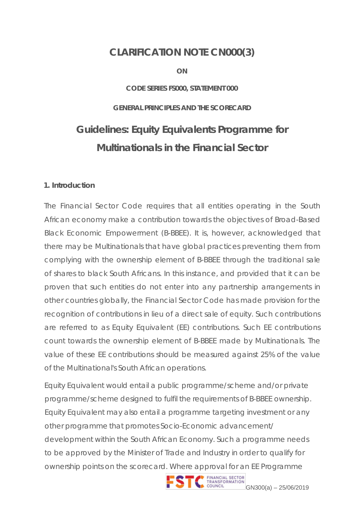# **CLARIFICATION NOTE CN000(3)**

**ON**

#### **CODE SERIES FS000, STATEMENT 000**

#### **GENERAL PRINCIPLES AND THE SCORECARD**

# **Guidelines: Equity Equivalents Programme for Multinationals in the Financial Sector**

#### **1. Introduction**

The Financial Sector Code requires that all entities operating in the South African economy make a contribution towards the objectives of Broad-Based Black Economic Empowerment (B-BBEE). It is, however, acknowledged that there may be Multinationals that have global practices preventing them from complying with the ownership element of B-BBEE through the traditional sale of shares to black South Africans. In this instance, and provided that it can be proven that such entities do not enter into any partnership arrangements in other countries globally, the Financial Sector Code has made provision for the recognition of contributions in lieu of a direct sale of equity. Such contributions are referred to as Equity Equivalent (EE) contributions. Such EE contributions count towards the ownership element of B-BBEE made by Multinationals. The value of these EE contributions should be measured against 25% of the value of the Multinational's South African operations.

Equity Equivalent would entail a public programme/scheme and/or private programme/scheme designed to fulfil the requirements of B-BBEE ownership. Equity Equivalent may also entail a programme targeting investment or any other programme that promotes Socio-Economic advancement/ development within the South African Economy. Such a programme needs to be approved by the Minister of Trade and Industry in order to qualify for ownership points on the scorecard. Where approval for an EE Programme

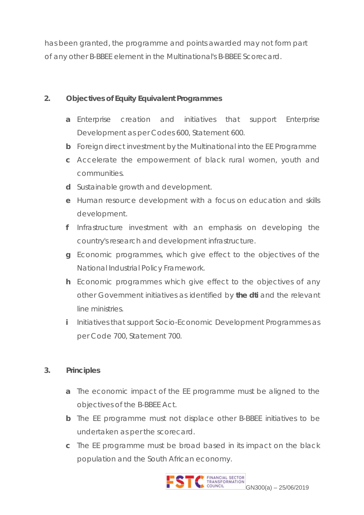has been granted, the programme and points awarded may not form part of any other B-BBEE element in the Multinational's B-BBEE Scorecard.

### **2. Objectives of Equity Equivalent Programmes**

- **a** Enterprise creation and initiatives that support Enterprise Development as per Codes 600, Statement 600.
- **b** Foreign direct investment by the Multinational into the EE Programme
- **c** Accelerate the empowerment of black rural women, youth and communities.
- **d** Sustainable growth and development.
- **e** Human resource development with a focus on education and skills development.
- **f** Infrastructure investment with an emphasis on developing the country's research and development infrastructure.
- **g** Economic programmes, which give effect to the objectives of the National Industrial Policy Framework.
- **h** Economic programmes which give effect to the objectives of any other Government initiatives as identified by **the dti** and the relevant line ministries.
- **i** Initiatives that support Socio-Economic Development Programmes as per Code 700, Statement 700.

#### **3. Principles**

- **a** The economic impact of the EE programme must be aligned to the objectives of the B-BBEE Act.
- **b** The EE programme must not displace other B-BBEE initiatives to be undertaken as per the scorecard.
- **c** The EE programme must be broad based in its impact on the black population and the South African economy.

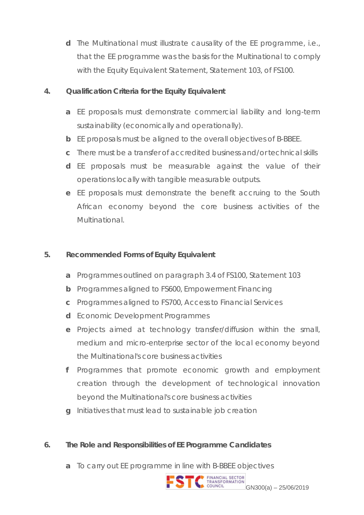**d** The Multinational must illustrate causality of the EE programme, i.e., that the EE programme was the basis for the Multinational to comply with the Equity Equivalent Statement, Statement 103, of FS100.

### **4. Qualification Criteria for the Equity Equivalent**

- **a** EE proposals must demonstrate commercial liability and long-term sustainability (economically and operationally).
- **b** EE proposals must be aligned to the overall objectives of B-BBEE.
- **c** There must be a transfer of accredited business and/or technical skills
- **d** EE proposals must be measurable against the value of their operations locally with tangible measurable outputs.
- **e** EE proposals must demonstrate the benefit accruing to the South African economy beyond the core business activities of the Multinational.

# **5. Recommended Forms of Equity Equivalent**

- **a** Programmes outlined on paragraph 3.4 of FS100, Statement 103
- **b** Programmes aligned to FS600, Empowerment Financing
- **c** Programmes aligned to FS700, Access to Financial Services
- **d** Economic Development Programmes
- **e** Projects aimed at technology transfer/diffusion within the small, medium and micro-enterprise sector of the local economy beyond the Multinational's core business activities
- **f** Programmes that promote economic growth and employment creation through the development of technological innovation beyond the Multinational's core business activities
- **g** Initiatives that must lead to sustainable job creation

# **6. The Role and Responsibilities of EE Programme Candidates**

**a** To carry out EE programme in line with B-BBEE objectives

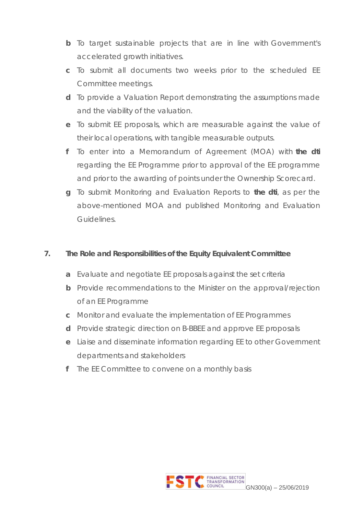- **b** To target sustainable projects that are in line with Government's accelerated growth initiatives.
- **c** To submit all documents two weeks prior to the scheduled EE Committee meetings.
- **d** To provide a Valuation Report demonstrating the assumptions made and the viability of the valuation.
- **e** To submit EE proposals, which are measurable against the value of their local operations, with tangible measurable outputs.
- **f** To enter into a Memorandum of Agreement (MOA) with **the dti** regarding the EE Programme prior to approval of the EE programme and prior to the awarding of points under the Ownership Scorecard.
- **g** To submit Monitoring and Evaluation Reports to **the dti**, as per the above-mentioned MOA and published Monitoring and Evaluation Guidelines.

### **7. The Role and Responsibilities of the Equity Equivalent Committee**

- **a** Evaluate and negotiate EE proposals against the set criteria
- **b** Provide recommendations to the Minister on the approval/rejection of an EE Programme
- **c** Monitor and evaluate the implementation of EE Programmes
- **d** Provide strategic direction on B-BBEE and approve EE proposals
- **e** Liaise and disseminate information regarding EE to other Government departments and stakeholders
- **f** The EE Committee to convene on a monthly basis

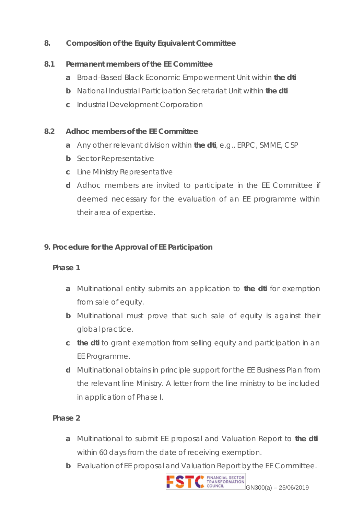# **8. Composition of the Equity Equivalent Committee**

#### **8.1 Permanent members of the EE Committee**

- **a** Broad-Based Black Economic Empowerment Unit within **the dti**
- **b** National Industrial Participation Secretariat Unit within **the dti**
- **c** Industrial Development Corporation

#### **8.2 Adhoc members of the EE Committee**

- **a** Any other relevant division within **the dti**, e.g., ERPC, SMME, CSP
- **b** Sector Representative
- **c** Line Ministry Representative
- **d** Adhoc members are invited to participate in the EE Committee if deemed necessary for the evaluation of an EE programme within their area of expertise.

# **9. Procedure for the Approval of EE Participation**

#### **Phase 1**

- **a** Multinational entity submits an application to **the dti** for exemption from sale of equity.
- **b** Multinational must prove that such sale of equity is against their global practice.
- **c the dti** to grant exemption from selling equity and participation in an EE Programme.
- **d** Multinational obtains in principle support for the EE Business Plan from the relevant line Ministry. A letter from the line ministry to be included in application of Phase I.

#### **Phase 2**

- **a** Multinational to submit EE proposal and Valuation Report to **the dti** within 60 days from the date of receiving exemption.
- **b** Evaluation of EE proposal and Valuation Report by the EE Committee.

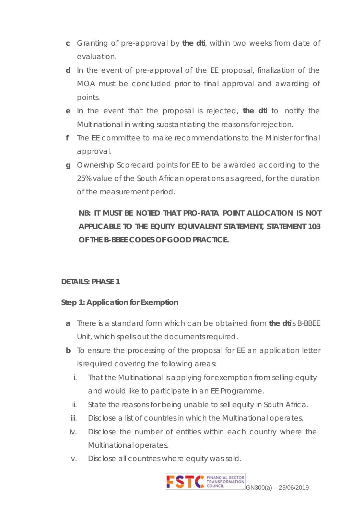- **c** Granting of pre-approval by **the dti**, within two weeks from date of evaluation.
- **d** In the event of pre-approval of the EE proposal, finalization of the MOA must be concluded prior to final approval and awarding of points.
- **e** In the event that the proposal is rejected, **the dti** to notify the Multinational in writing substantiating the reasons for rejection.
- **f** The EE committee to make recommendations to the Minister for final approval.
- **g** Ownership Scorecard points for EE to be awarded according to the 25% value of the South African operations as agreed, for the duration of the measurement period.

# **NB: IT MUST BE NOTED THAT PRO-RATA POINT ALLOCATION IS NOT APPLICABLE TO THE EQUITY EQUIVALENT STATEMENT, STATEMENT 103 OF THE B-BBEE CODES OF GOOD PRACTICE.**

#### **DETAILS: PHASE 1**

#### **Step 1: Application for Exemption**

- **a** There is a standard form which can be obtained from **the dti**'s B-BBEE Unit, which spells out the documents required.
- **b** To ensure the processing of the proposal for EE an application letter is required covering the following areas:
	- i. That the Multinational is applying for exemption from selling equity and would like to participate in an EE Programme.
	- ii. State the reasons for being unable to sell equity in South Africa.
	- iii. Disclose a list of countries in which the Multinational operates.
	- iv. Disclose the number of entities within each country where the Multinational operates.
	- v. Disclose all countries where equity was sold.

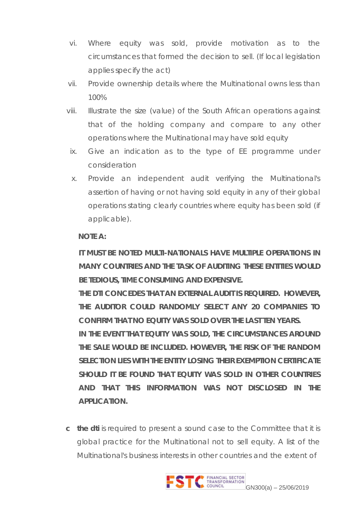- vi. Where equity was sold, provide motivation as to the circumstances that formed the decision to sell. (If local legislation applies specify the act)
- vii. Provide ownership details where the Multinational owns less than 100%
- viii. Illustrate the size (value) of the South African operations against that of the holding company and compare to any other operations where the Multinational may have sold equity
- ix. Give an indication as to the type of EE programme under consideration
- x. Provide an independent audit verifying the Multinational's assertion of having or not having sold equity in any of their global operations stating clearly countries where equity has been sold (if applicable).

#### **NOTE A:**

**IT MUST BE NOTED MULTI-NATIONALS HAVE MULTIPLE OPERATIONS IN MANY COUNTRIES AND THE TASK OF AUDITING THESE ENTITIES WOULD BE TEDIOUS, TIME CONSUMING AND EXPENSIVE.**

**THE DTI CONCEDES THAT AN EXTERNAL AUDIT IS REQUIRED. HOWEVER, THE AUDITOR COULD RANDOMLY SELECT ANY 20 COMPANIES TO CONFIRM THAT NO EQUITY WAS SOLD OVER THE LAST TEN YEARS.**

**IN THE EVENT THAT EQUITY WAS SOLD, THE CIRCUMSTANCES AROUND THE SALE WOULD BE INCLUDED. HOWEVER, THE RISK OF THE RANDOM SELECTION LIES WITH THE ENTITY LOSING THEIR EXEMPTION CERTIFICATE SHOULD IT BE FOUND THAT EQUITY WAS SOLD IN OTHER COUNTRIES AND THAT THIS INFORMATION WAS NOT DISCLOSED IN THE APPLICATION.**

**c the dti** is required to present a sound case to the Committee that it is global practice for the Multinational not to sell equity. A list of the Multinational's business interests in other countries and the extent of

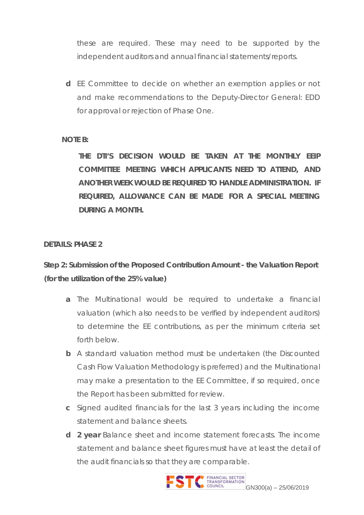these are required. These may need to be supported by the independent auditors and annual financial statements/reports.

**d** EE Committee to decide on whether an exemption applies or not and make recommendations to the Deputy-Director General: EDD for approval or rejection of Phase One.

#### **NOTE B:**

**THE DTI'S DECISION WOULD BE TAKEN AT THE MONTHLY EEIP COMMITTEE MEETING WHICH APPLICANTS NEED TO ATTEND, AND ANOTHER WEEK WOULD BE REQUIRED TO HANDLE ADMINISTRATION. IF REQUIRED, ALLOWANCE CAN BE MADE FOR A SPECIAL MEETING DURING A MONTH.**

#### **DETAILS: PHASE 2**

**Step 2: Submission of the Proposed Contribution Amount - the Valuation Report (for the utilization of the 25% value)**

- **a** The Multinational would be required to undertake a financial valuation (which also needs to be verified by independent auditors) to determine the EE contributions, as per the minimum criteria set forth below.
- **b** A standard valuation method must be undertaken (the Discounted Cash Flow Valuation Methodology is preferred) and the Multinational may make a presentation to the EE Committee, if so required, once the Report has been submitted for review.
- **c** Signed audited financials for the last 3 years including the income statement and balance sheets.
- **d 2 year** Balance sheet and income statement forecasts. The income statement and balance sheet figures must have at least the detail of the audit financials so that they are comparable.

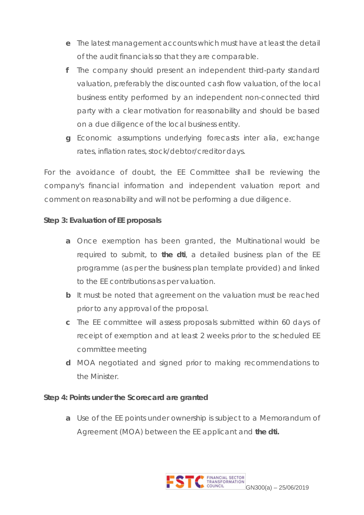- **e** The latest management accounts which must have at least the detail of the audit financials so that they are comparable.
- **f** The company should present an independent third-party standard valuation, preferably the discounted cash flow valuation, of the local business entity performed by an independent non-connected third party with a clear motivation for reasonability and should be based on a due diligence of the local business entity.
- **g** Economic assumptions underlying forecasts inter alia, exchange rates, inflation rates, stock/debtor/creditor days.

For the avoidance of doubt, the EE Committee shall be reviewing the company's financial information and independent valuation report and comment on reasonability and will not be performing a due diligence.

#### **Step 3: Evaluation of EE proposals**

- **a** Once exemption has been granted, the Multinational would be required to submit, to **the dti**, a detailed business plan of the EE programme (as per the business plan template provided) and linked to the EE contributions as per valuation.
- **b** It must be noted that agreement on the valuation must be reached prior to any approval of the proposal.
- **c** The EE committee will assess proposals submitted within 60 days of receipt of exemption and at least 2 weeks prior to the scheduled EE committee meeting
- **d** MOA negotiated and signed prior to making recommendations to the Minister.

#### **Step 4: Points under the Scorecard are granted**

**a** Use of the EE points under ownership is subject to a Memorandum of Agreement (MOA) between the EE applicant and **the dti.**